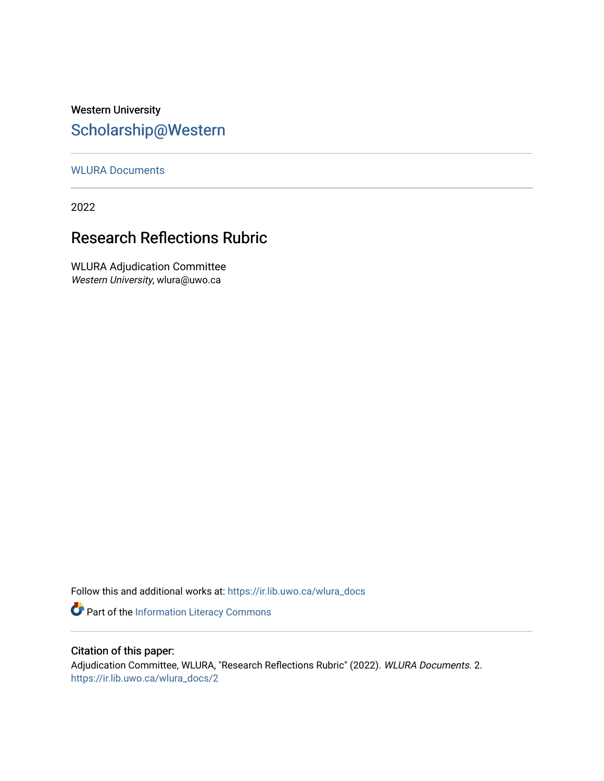## Western University [Scholarship@Western](https://ir.lib.uwo.ca/)

#### [WLURA Documents](https://ir.lib.uwo.ca/wlura_docs)

2022

### Research Reflections Rubric

WLURA Adjudication Committee Western University, wlura@uwo.ca

Follow this and additional works at: [https://ir.lib.uwo.ca/wlura\\_docs](https://ir.lib.uwo.ca/wlura_docs?utm_source=ir.lib.uwo.ca%2Fwlura_docs%2F2&utm_medium=PDF&utm_campaign=PDFCoverPages) 

Part of the [Information Literacy Commons](http://network.bepress.com/hgg/discipline/1243?utm_source=ir.lib.uwo.ca%2Fwlura_docs%2F2&utm_medium=PDF&utm_campaign=PDFCoverPages)

#### Citation of this paper:

Adjudication Committee, WLURA, "Research Reflections Rubric" (2022). WLURA Documents. 2. [https://ir.lib.uwo.ca/wlura\\_docs/2](https://ir.lib.uwo.ca/wlura_docs/2?utm_source=ir.lib.uwo.ca%2Fwlura_docs%2F2&utm_medium=PDF&utm_campaign=PDFCoverPages)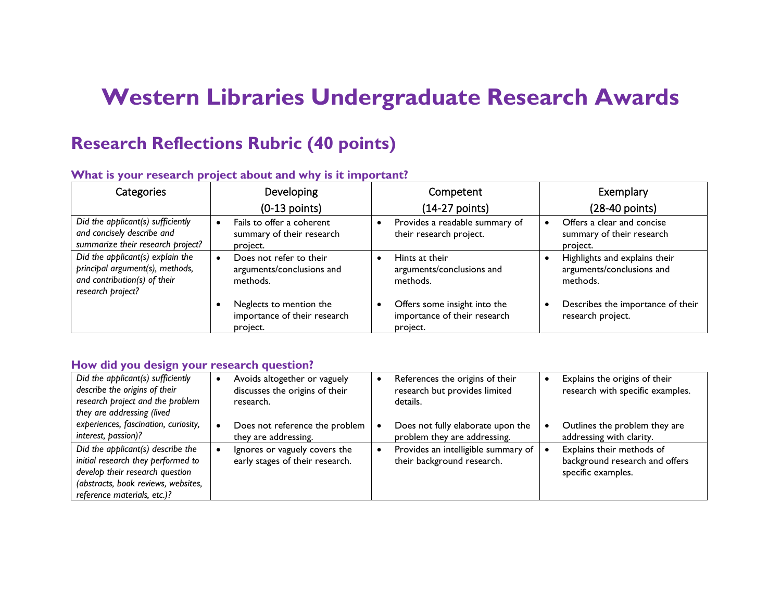# **Western Libraries Undergraduate Research Awards**

# **Research Reflections Rubric (40 points)**

| Categories                                                                                                               | Developing                                                          | Competent                                                                | Exemplary                                                              |
|--------------------------------------------------------------------------------------------------------------------------|---------------------------------------------------------------------|--------------------------------------------------------------------------|------------------------------------------------------------------------|
|                                                                                                                          | $(0-13$ points)                                                     | $(14-27$ points)                                                         | (28-40 points)                                                         |
| Did the applicant(s) sufficiently                                                                                        | Fails to offer a coherent                                           | Provides a readable summary of                                           | Offers a clear and concise                                             |
| and concisely describe and                                                                                               | summary of their research                                           | $\bullet$                                                                | summary of their research                                              |
| summarize their research project?                                                                                        | project.                                                            | their research project.                                                  | project.                                                               |
| Did the applicant(s) explain the<br>principal argument(s), methods,<br>and contribution(s) of their<br>research project? | Does not refer to their<br>arguments/conclusions and<br>methods.    | Hints at their<br>arguments/conclusions and<br>methods.                  | Highlights and explains their<br>arguments/conclusions and<br>methods. |
|                                                                                                                          | Neglects to mention the<br>importance of their research<br>project. | Offers some insight into the<br>importance of their research<br>project. | Describes the importance of their<br>research project.                 |

#### **What is your research project about and why is it important?**

#### **How did you design your research question?**

| Did the applicant(s) sufficiently<br>describe the origins of their<br>research project and the problem<br>they are addressing (lived                                             | Avoids altogether or vaguely<br>discusses the origins of their<br>research. | References the origins of their<br>research but provides limited<br>details. | Explains the origins of their<br>research with specific examples.                 |
|----------------------------------------------------------------------------------------------------------------------------------------------------------------------------------|-----------------------------------------------------------------------------|------------------------------------------------------------------------------|-----------------------------------------------------------------------------------|
| experiences, fascination, curiosity,<br>interest, passion)?                                                                                                                      | Does not reference the problem<br>they are addressing.                      | Does not fully elaborate upon the<br>problem they are addressing.            | Outlines the problem they are<br>addressing with clarity.                         |
| Did the applicant(s) describe the<br>initial research they performed to<br>develop their research question<br>(abstracts, book reviews, websites,<br>reference materials, etc.)? | Ignores or vaguely covers the<br>early stages of their research.            | Provides an intelligible summary of<br>their background research.            | Explains their methods of<br>background research and offers<br>specific examples. |